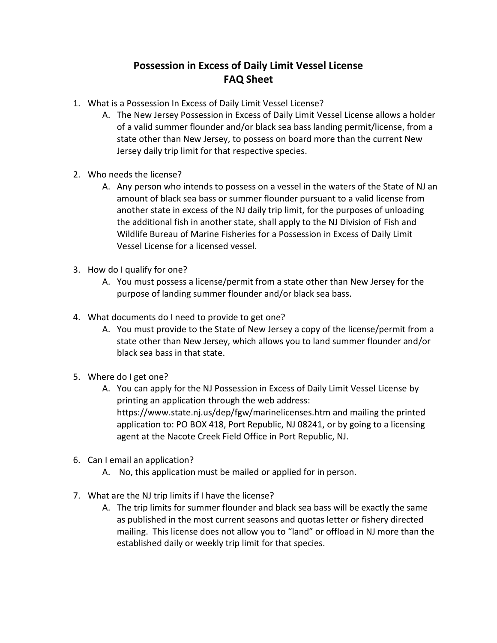## **Possession in Excess of Daily Limit Vessel License FAQ Sheet**

- 1. What is a Possession In Excess of Daily Limit Vessel License?
	- A. The New Jersey Possession in Excess of Daily Limit Vessel License allows a holder of a valid summer flounder and/or black sea bass landing permit/license, from a state other than New Jersey, to possess on board more than the current New Jersey daily trip limit for that respective species.
- 2. Who needs the license?
	- A. Any person who intends to possess on a vessel in the waters of the State of NJ an amount of black sea bass or summer flounder pursuant to a valid license from another state in excess of the NJ daily trip limit, for the purposes of unloading the additional fish in another state, shall apply to the NJ Division of Fish and Wildlife Bureau of Marine Fisheries for a Possession in Excess of Daily Limit Vessel License for a licensed vessel.
- 3. How do I qualify for one?
	- A. You must possess a license/permit from a state other than New Jersey for the purpose of landing summer flounder and/or black sea bass.
- 4. What documents do I need to provide to get one?
	- A. You must provide to the State of New Jersey a copy of the license/permit from a state other than New Jersey, which allows you to land summer flounder and/or black sea bass in that state.
- 5. Where do I get one?
	- A. You can apply for the NJ Possession in Excess of Daily Limit Vessel License by printing an application through the web address: https://www.state.nj.us/dep/fgw/marinelicenses.htm and mailing the printed application to: PO BOX 418, Port Republic, NJ 08241, or by going to a licensing agent at the Nacote Creek Field Office in Port Republic, NJ.
- 6. Can I email an application?
	- A. No, this application must be mailed or applied for in person.
- 7. What are the NJ trip limits if I have the license?
	- A. The trip limits for summer flounder and black sea bass will be exactly the same as published in the most current seasons and quotas letter or fishery directed mailing. This license does not allow you to "land" or offload in NJ more than the established daily or weekly trip limit for that species.